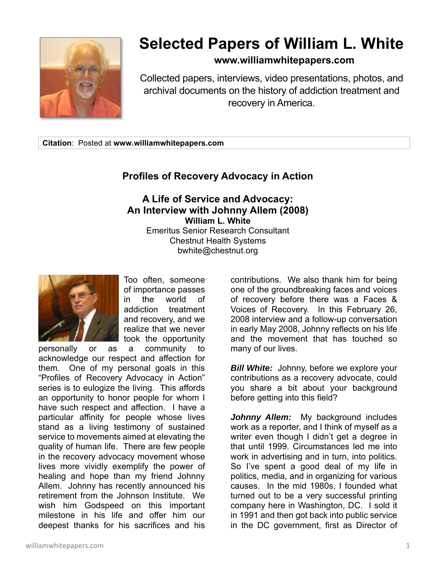

## **Selected Papers of William L. White**

## **www.williamwhitepapers.com**

Collected papers, interviews, video presentations, photos, and archival documents on the history of addiction treatment and recovery in America.

**Citation**: Posted at **www.williamwhitepapers.com** 

## **Profiles of Recovery Advocacy in Action**

## **A Life of Service and Advocacy: An Interview with Johnny Allem (2008) William L. White**  Emeritus Senior Research Consultant Chestnut Health Systems bwhite@chestnut.org



Too often, someone of importance passes in the world of addiction treatment and recovery, and we realize that we never took the opportunity

personally or as a community to acknowledge our respect and affection for them. One of my personal goals in this "Profiles of Recovery Advocacy in Action" series is to eulogize the living. This affords an opportunity to honor people for whom I have such respect and affection. I have a particular affinity for people whose lives stand as a living testimony of sustained service to movements aimed at elevating the quality of human life. There are few people in the recovery advocacy movement whose lives more vividly exemplify the power of healing and hope than my friend Johnny Allem. Johnny has recently announced his retirement from the Johnson Institute. We wish him Godspeed on this important milestone in his life and offer him our deepest thanks for his sacrifices and his

contributions. We also thank him for being one of the groundbreaking faces and voices of recovery before there was a Faces & Voices of Recovery. In this February 26, 2008 interview and a follow-up conversation in early May 2008, Johnny reflects on his life and the movement that has touched so many of our lives.

*Bill White:* Johnny, before we explore your contributions as a recovery advocate, could you share a bit about your background before getting into this field?

*Johnny Allem:* My background includes work as a reporter, and I think of myself as a writer even though I didn't get a degree in that until 1999. Circumstances led me into work in advertising and in turn, into politics. So I've spent a good deal of my life in politics, media, and in organizing for various causes. In the mid 1980s, I founded what turned out to be a very successful printing company here in Washington, DC. I sold it in 1991 and then got back into public service in the DC government, first as Director of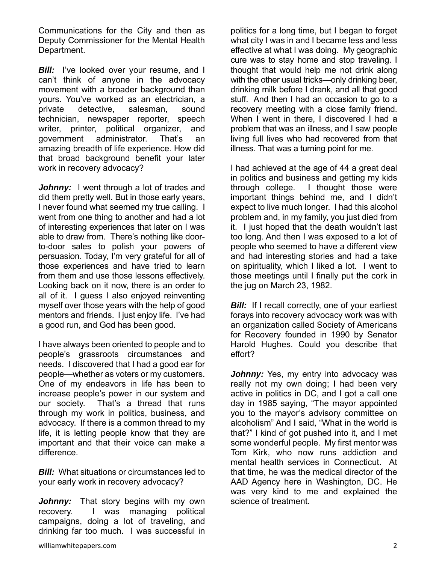Communications for the City and then as Deputy Commissioner for the Mental Health Department.

**Bill:** I've looked over your resume, and I can't think of anyone in the advocacy movement with a broader background than yours. You've worked as an electrician, a private detective, salesman, sound technician, newspaper reporter, speech writer, printer, political organizer, and government administrator. That's an amazing breadth of life experience. How did that broad background benefit your later work in recovery advocacy?

Johnny: I went through a lot of trades and did them pretty well. But in those early years, I never found what seemed my true calling. I went from one thing to another and had a lot of interesting experiences that later on I was able to draw from. There's nothing like doorto-door sales to polish your powers of persuasion. Today, I'm very grateful for all of those experiences and have tried to learn from them and use those lessons effectively. Looking back on it now, there is an order to all of it. I guess I also enjoyed reinventing myself over those years with the help of good mentors and friends. I just enjoy life. I've had a good run, and God has been good.

I have always been oriented to people and to people's grassroots circumstances and needs. I discovered that I had a good ear for people—whether as voters or my customers. One of my endeavors in life has been to increase people's power in our system and our society. That's a thread that runs through my work in politics, business, and advocacy. If there is a common thread to my life, it is letting people know that they are important and that their voice can make a difference.

*Bill:* What situations or circumstances led to your early work in recovery advocacy?

*Johnny:* That story begins with my own recovery. I was managing political campaigns, doing a lot of traveling, and drinking far too much. I was successful in

politics for a long time, but I began to forget what city I was in and I became less and less effective at what I was doing. My geographic cure was to stay home and stop traveling. I thought that would help me not drink along with the other usual tricks—only drinking beer, drinking milk before I drank, and all that good stuff. And then I had an occasion to go to a recovery meeting with a close family friend. When I went in there, I discovered I had a problem that was an illness, and I saw people living full lives who had recovered from that illness. That was a turning point for me.

I had achieved at the age of 44 a great deal in politics and business and getting my kids through college. I thought those were important things behind me, and I didn't expect to live much longer. I had this alcohol problem and, in my family, you just died from it. I just hoped that the death wouldn't last too long. And then I was exposed to a lot of people who seemed to have a different view and had interesting stories and had a take on spirituality, which I liked a lot. I went to those meetings until I finally put the cork in the jug on March 23, 1982.

*Bill:* If I recall correctly, one of your earliest forays into recovery advocacy work was with an organization called Society of Americans for Recovery founded in 1990 by Senator Harold Hughes. Could you describe that effort?

*Johnny:* Yes, my entry into advocacy was really not my own doing; I had been very active in politics in DC, and I got a call one day in 1985 saying, "The mayor appointed you to the mayor's advisory committee on alcoholism" And I said, "What in the world is that?" I kind of got pushed into it, and I met some wonderful people. My first mentor was Tom Kirk, who now runs addiction and mental health services in Connecticut. At that time, he was the medical director of the AAD Agency here in Washington, DC. He was very kind to me and explained the science of treatment.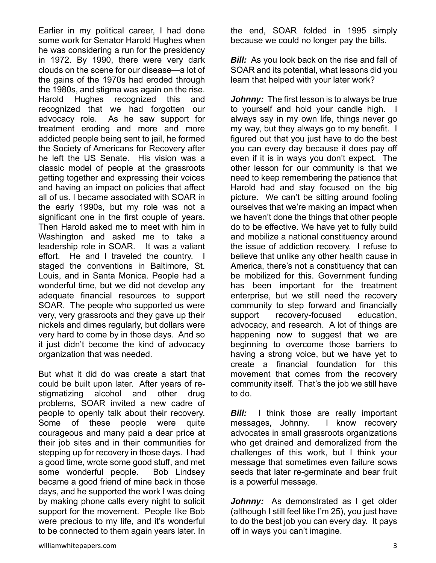Earlier in my political career, I had done some work for Senator Harold Hughes when he was considering a run for the presidency in 1972. By 1990, there were very dark clouds on the scene for our disease—a lot of the gains of the 1970s had eroded through the 1980s, and stigma was again on the rise. Harold Hughes recognized this and recognized that we had forgotten our advocacy role. As he saw support for treatment eroding and more and more addicted people being sent to jail, he formed the Society of Americans for Recovery after he left the US Senate. His vision was a classic model of people at the grassroots getting together and expressing their voices and having an impact on policies that affect all of us. I became associated with SOAR in the early 1990s, but my role was not a significant one in the first couple of years. Then Harold asked me to meet with him in Washington and asked me to take a leadership role in SOAR. It was a valiant effort. He and I traveled the country. staged the conventions in Baltimore, St. Louis, and in Santa Monica. People had a wonderful time, but we did not develop any adequate financial resources to support SOAR. The people who supported us were very, very grassroots and they gave up their nickels and dimes regularly, but dollars were very hard to come by in those days. And so it just didn't become the kind of advocacy organization that was needed.

But what it did do was create a start that could be built upon later. After years of restigmatizing alcohol and other drug problems, SOAR invited a new cadre of people to openly talk about their recovery. Some of these people were quite courageous and many paid a dear price at their job sites and in their communities for stepping up for recovery in those days. I had a good time, wrote some good stuff, and met some wonderful people. Bob Lindsey became a good friend of mine back in those days, and he supported the work I was doing by making phone calls every night to solicit support for the movement. People like Bob were precious to my life, and it's wonderful to be connected to them again years later. In the end, SOAR folded in 1995 simply because we could no longer pay the bills.

*Bill:* As you look back on the rise and fall of SOAR and its potential, what lessons did you learn that helped with your later work?

*Johnny:* The first lesson is to always be true to yourself and hold your candle high. I always say in my own life, things never go my way, but they always go to my benefit. I figured out that you just have to do the best you can every day because it does pay off even if it is in ways you don't expect. The other lesson for our community is that we need to keep remembering the patience that Harold had and stay focused on the big picture. We can't be sitting around fooling ourselves that we're making an impact when we haven't done the things that other people do to be effective. We have yet to fully build and mobilize a national constituency around the issue of addiction recovery. I refuse to believe that unlike any other health cause in America, there's not a constituency that can be mobilized for this. Government funding has been important for the treatment enterprise, but we still need the recovery community to step forward and financially support recovery-focused education, advocacy, and research. A lot of things are happening now to suggest that we are beginning to overcome those barriers to having a strong voice, but we have yet to create a financial foundation for this movement that comes from the recovery community itself. That's the job we still have to do.

*Bill:* I think those are really important messages, Johnny. I know recovery advocates in small grassroots organizations who get drained and demoralized from the challenges of this work, but I think your message that sometimes even failure sows seeds that later re-germinate and bear fruit is a powerful message.

*Johnny:* As demonstrated as I get older (although I still feel like I'm 25), you just have to do the best job you can every day. It pays off in ways you can't imagine.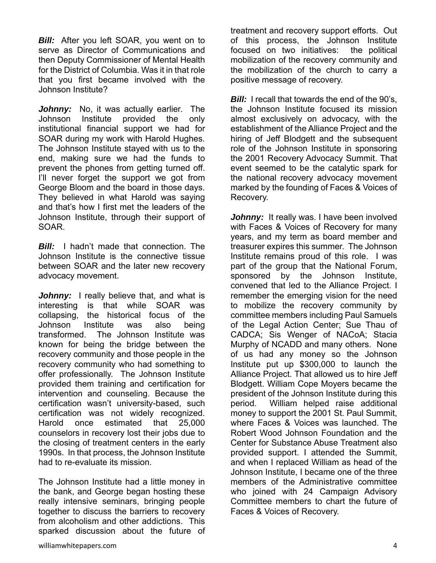*Bill:* After you left SOAR, you went on to serve as Director of Communications and then Deputy Commissioner of Mental Health for the District of Columbia. Was it in that role that you first became involved with the Johnson Institute?

Johnny: No, it was actually earlier. The Johnson Institute provided the only institutional financial support we had for SOAR during my work with Harold Hughes. The Johnson Institute stayed with us to the end, making sure we had the funds to prevent the phones from getting turned off. I'll never forget the support we got from George Bloom and the board in those days. They believed in what Harold was saying and that's how I first met the leaders of the Johnson Institute, through their support of SOAR.

*Bill:* I hadn't made that connection. The Johnson Institute is the connective tissue between SOAR and the later new recovery advocacy movement.

*Johnny:* I really believe that, and what is interesting is that while SOAR was collapsing, the historical focus of the Johnson Institute was also being transformed. The Johnson Institute was known for being the bridge between the recovery community and those people in the recovery community who had something to offer professionally. The Johnson Institute provided them training and certification for intervention and counseling. Because the certification wasn't university-based, such certification was not widely recognized. Harold once estimated that 25,000 counselors in recovery lost their jobs due to the closing of treatment centers in the early 1990s. In that process, the Johnson Institute had to re-evaluate its mission.

The Johnson Institute had a little money in the bank, and George began hosting these really intensive seminars, bringing people together to discuss the barriers to recovery from alcoholism and other addictions. This sparked discussion about the future of

treatment and recovery support efforts. Out of this process, the Johnson Institute focused on two initiatives: the political mobilization of the recovery community and the mobilization of the church to carry a positive message of recovery.

*Bill:* I recall that towards the end of the 90's. the Johnson Institute focused its mission almost exclusively on advocacy, with the establishment of the Alliance Project and the hiring of Jeff Blodgett and the subsequent role of the Johnson Institute in sponsoring the 2001 Recovery Advocacy Summit. That event seemed to be the catalytic spark for the national recovery advocacy movement marked by the founding of Faces & Voices of Recovery.

*Johnny:* It really was. I have been involved with Faces & Voices of Recovery for many years, and my term as board member and treasurer expires this summer. The Johnson Institute remains proud of this role. I was part of the group that the National Forum, sponsored by the Johnson Institute, convened that led to the Alliance Project. I remember the emerging vision for the need to mobilize the recovery community by committee members including Paul Samuels of the Legal Action Center; Sue Thau of CADCA; Sis Wenger of NACoA; Stacia Murphy of NCADD and many others. None of us had any money so the Johnson Institute put up \$300,000 to launch the Alliance Project. That allowed us to hire Jeff Blodgett. William Cope Moyers became the president of the Johnson Institute during this period. William helped raise additional money to support the 2001 St. Paul Summit, where Faces & Voices was launched. The Robert Wood Johnson Foundation and the Center for Substance Abuse Treatment also provided support. I attended the Summit, and when I replaced William as head of the Johnson Institute, I became one of the three members of the Administrative committee who joined with 24 Campaign Advisory Committee members to chart the future of Faces & Voices of Recovery.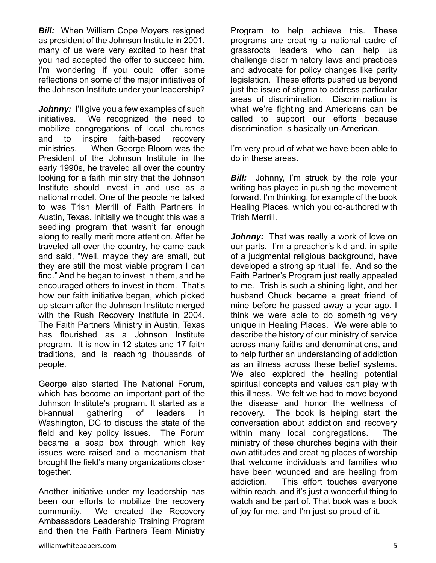**Bill:** When William Cope Moyers resigned as president of the Johnson Institute in 2001, many of us were very excited to hear that you had accepted the offer to succeed him. I'm wondering if you could offer some reflections on some of the major initiatives of the Johnson Institute under your leadership?

*Johnny:* I'll give you a few examples of such initiatives. We recognized the need to mobilize congregations of local churches and to inspire faith-based recovery ministries. When George Bloom was the President of the Johnson Institute in the early 1990s, he traveled all over the country looking for a faith ministry that the Johnson Institute should invest in and use as a national model. One of the people he talked to was Trish Merrill of Faith Partners in Austin, Texas. Initially we thought this was a seedling program that wasn't far enough along to really merit more attention. After he traveled all over the country, he came back and said, "Well, maybe they are small, but they are still the most viable program I can find." And he began to invest in them, and he encouraged others to invest in them. That's how our faith initiative began, which picked up steam after the Johnson Institute merged with the Rush Recovery Institute in 2004. The Faith Partners Ministry in Austin, Texas has flourished as a Johnson Institute program. It is now in 12 states and 17 faith traditions, and is reaching thousands of people.

George also started The National Forum, which has become an important part of the Johnson Institute's program. It started as a bi-annual gathering of leaders in Washington, DC to discuss the state of the field and key policy issues. The Forum became a soap box through which key issues were raised and a mechanism that brought the field's many organizations closer together.

Another initiative under my leadership has been our efforts to mobilize the recovery community. We created the Recovery Ambassadors Leadership Training Program and then the Faith Partners Team Ministry

Program to help achieve this. These programs are creating a national cadre of grassroots leaders who can help us challenge discriminatory laws and practices and advocate for policy changes like parity legislation. These efforts pushed us beyond just the issue of stigma to address particular areas of discrimination. Discrimination is what we're fighting and Americans can be called to support our efforts because discrimination is basically un-American.

I'm very proud of what we have been able to do in these areas.

*Bill:* Johnny, I'm struck by the role your writing has played in pushing the movement forward. I'm thinking, for example of the book Healing Places, which you co-authored with Trish Merrill.

**Johnny:** That was really a work of love on our parts. I'm a preacher's kid and, in spite of a judgmental religious background, have developed a strong spiritual life. And so the Faith Partner's Program just really appealed to me. Trish is such a shining light, and her husband Chuck became a great friend of mine before he passed away a year ago. I think we were able to do something very unique in Healing Places. We were able to describe the history of our ministry of service across many faiths and denominations, and to help further an understanding of addiction as an illness across these belief systems. We also explored the healing potential spiritual concepts and values can play with this illness. We felt we had to move beyond the disease and honor the wellness of recovery. The book is helping start the conversation about addiction and recovery within many local congregations. The ministry of these churches begins with their own attitudes and creating places of worship that welcome individuals and families who have been wounded and are healing from addiction. This effort touches everyone within reach, and it's just a wonderful thing to watch and be part of. That book was a book of joy for me, and I'm just so proud of it.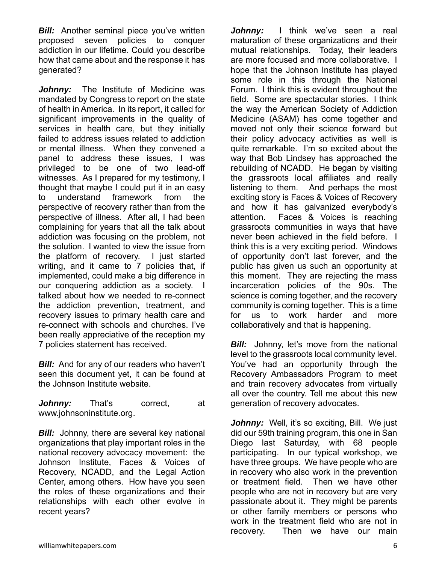**Bill:** Another seminal piece you've written proposed seven policies to conquer addiction in our lifetime. Could you describe how that came about and the response it has generated?

*Johnny:* The Institute of Medicine was mandated by Congress to report on the state of health in America. In its report, it called for significant improvements in the quality of services in health care, but they initially failed to address issues related to addiction or mental illness. When they convened a panel to address these issues, I was privileged to be one of two lead-off witnesses. As I prepared for my testimony, I thought that maybe I could put it in an easy to understand framework from the perspective of recovery rather than from the perspective of illness. After all, I had been complaining for years that all the talk about addiction was focusing on the problem, not the solution. I wanted to view the issue from the platform of recovery. I just started writing, and it came to 7 policies that, if implemented, could make a big difference in our conquering addiction as a society. I talked about how we needed to re-connect the addiction prevention, treatment, and recovery issues to primary health care and re-connect with schools and churches. I've been really appreciative of the reception my 7 policies statement has received.

**Bill:** And for any of our readers who haven't seen this document yet, it can be found at the Johnson Institute website.

*Johnny:* That's correct, at www.johnsoninstitute.org.

**Bill:** Johnny, there are several key national organizations that play important roles in the national recovery advocacy movement: the Johnson Institute, Faces & Voices of Recovery, NCADD, and the Legal Action Center, among others. How have you seen the roles of these organizations and their relationships with each other evolve in recent years?

*Johnny:* I think we've seen a real maturation of these organizations and their mutual relationships. Today, their leaders are more focused and more collaborative. I hope that the Johnson Institute has played some role in this through the National Forum. I think this is evident throughout the field. Some are spectacular stories. I think the way the American Society of Addiction Medicine (ASAM) has come together and moved not only their science forward but their policy advocacy activities as well is quite remarkable. I'm so excited about the way that Bob Lindsey has approached the rebuilding of NCADD. He began by visiting the grassroots local affiliates and really listening to them. And perhaps the most exciting story is Faces & Voices of Recovery and how it has galvanized everybody's attention. Faces & Voices is reaching grassroots communities in ways that have never been achieved in the field before. I think this is a very exciting period. Windows of opportunity don't last forever, and the public has given us such an opportunity at this moment. They are rejecting the mass incarceration policies of the 90s. The science is coming together, and the recovery community is coming together. This is a time for us to work harder and more collaboratively and that is happening.

*Bill:* Johnny, let's move from the national level to the grassroots local community level. You've had an opportunity through the Recovery Ambassadors Program to meet and train recovery advocates from virtually all over the country. Tell me about this new generation of recovery advocates.

Johnny: Well, it's so exciting, Bill. We just did our 59th training program, this one in San Diego last Saturday, with 68 people participating. In our typical workshop, we have three groups. We have people who are in recovery who also work in the prevention or treatment field. Then we have other people who are not in recovery but are very passionate about it. They might be parents or other family members or persons who work in the treatment field who are not in recovery. Then we have our main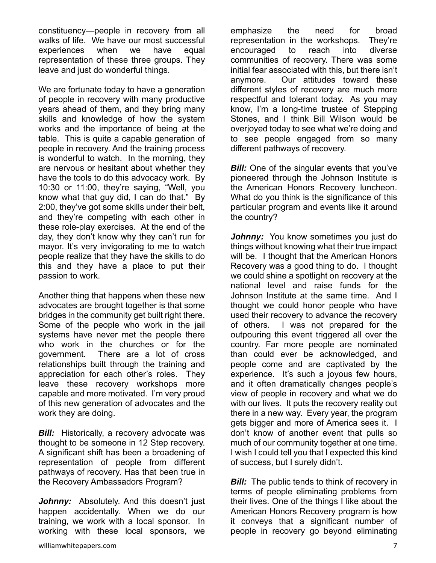constituency—people in recovery from all walks of life. We have our most successful experiences when we have equal representation of these three groups. They leave and just do wonderful things.

We are fortunate today to have a generation of people in recovery with many productive years ahead of them, and they bring many skills and knowledge of how the system works and the importance of being at the table. This is quite a capable generation of people in recovery. And the training process is wonderful to watch. In the morning, they are nervous or hesitant about whether they have the tools to do this advocacy work. By 10:30 or 11:00, they're saying, "Well, you know what that guy did, I can do that." By 2:00, they've got some skills under their belt, and they're competing with each other in these role-play exercises. At the end of the day, they don't know why they can't run for mayor. It's very invigorating to me to watch people realize that they have the skills to do this and they have a place to put their passion to work.

Another thing that happens when these new advocates are brought together is that some bridges in the community get built right there. Some of the people who work in the jail systems have never met the people there who work in the churches or for the government. There are a lot of cross relationships built through the training and appreciation for each other's roles. They leave these recovery workshops more capable and more motivated. I'm very proud of this new generation of advocates and the work they are doing.

**Bill:** Historically, a recovery advocate was thought to be someone in 12 Step recovery. A significant shift has been a broadening of representation of people from different pathways of recovery. Has that been true in the Recovery Ambassadors Program?

Johnny: Absolutely. And this doesn't just happen accidentally. When we do our training, we work with a local sponsor. In working with these local sponsors, we

representation in the workshops. They're encouraged to reach into diverse communities of recovery. There was some initial fear associated with this, but there isn't anymore. Our attitudes toward these different styles of recovery are much more respectful and tolerant today. As you may know, I'm a long-time trustee of Stepping Stones, and I think Bill Wilson would be overjoyed today to see what we're doing and to see people engaged from so many different pathways of recovery.

emphasize the need for broad

**Bill:** One of the singular events that you've pioneered through the Johnson Institute is the American Honors Recovery luncheon. What do you think is the significance of this particular program and events like it around the country?

*Johnny:* You know sometimes you just do things without knowing what their true impact will be. I thought that the American Honors Recovery was a good thing to do. I thought we could shine a spotlight on recovery at the national level and raise funds for the Johnson Institute at the same time. And I thought we could honor people who have used their recovery to advance the recovery of others. I was not prepared for the outpouring this event triggered all over the country. Far more people are nominated than could ever be acknowledged, and people come and are captivated by the experience. It's such a joyous few hours, and it often dramatically changes people's view of people in recovery and what we do with our lives. It puts the recovery reality out there in a new way. Every year, the program gets bigger and more of America sees it. I don't know of another event that pulls so much of our community together at one time. I wish I could tell you that I expected this kind of success, but I surely didn't.

*Bill:* The public tends to think of recovery in terms of people eliminating problems from their lives. One of the things I like about the American Honors Recovery program is how it conveys that a significant number of people in recovery go beyond eliminating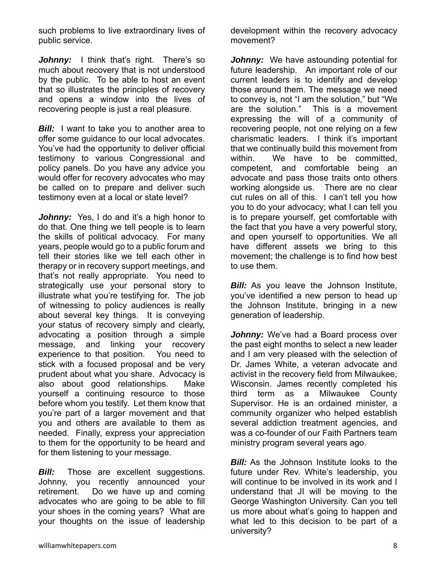such problems to live extraordinary lives of public service.

Johnny: I think that's right. There's so much about recovery that is not understood by the public. To be able to host an event that so illustrates the principles of recovery and opens a window into the lives of recovering people is just a real pleasure.

**Bill:** I want to take you to another area to offer some guidance to our local advocates. You've had the opportunity to deliver official testimony to various Congressional and policy panels. Do you have any advice you would offer for recovery advocates who may be called on to prepare and deliver such testimony even at a local or state level?

*Johnny:* Yes, I do and it's a high honor to do that. One thing we tell people is to learn the skills of political advocacy. For many years, people would go to a public forum and tell their stories like we tell each other in therapy or in recovery support meetings, and that's not really appropriate. You need to strategically use your personal story to illustrate what you're testifying for. The job of witnessing to policy audiences is really about several key things. It is conveying your status of recovery simply and clearly, advocating a position through a simple message, and linking your recovery experience to that position. You need to stick with a focused proposal and be very prudent about what you share. Advocacy is also about good relationships. Make yourself a continuing resource to those before whom you testify. Let them know that you're part of a larger movement and that you and others are available to them as needed. Finally, express your appreciation to them for the opportunity to be heard and for them listening to your message.

*Bill:* Those are excellent suggestions. Johnny, you recently announced your retirement. Do we have up and coming advocates who are going to be able to fill your shoes in the coming years? What are your thoughts on the issue of leadership

development within the recovery advocacy movement?

*Johnny:* We have astounding potential for future leadership. An important role of our current leaders is to identify and develop those around them. The message we need to convey is, not "I am the solution," but "We are the solution." This is a movement expressing the will of a community of recovering people, not one relying on a few charismatic leaders. I think it's important that we continually build this movement from within. We have to be committed, competent, and comfortable being an advocate and pass those traits onto others working alongside us. There are no clear cut rules on all of this. I can't tell you how you to do your advocacy; what I can tell you is to prepare yourself, get comfortable with the fact that you have a very powerful story, and open yourself to opportunities. We all have different assets we bring to this movement; the challenge is to find how best to use them.

*Bill:* As you leave the Johnson Institute, you've identified a new person to head up the Johnson Institute, bringing in a new generation of leadership.

**Johnny:** We've had a Board process over the past eight months to select a new leader and I am very pleased with the selection of Dr. James White, a veteran advocate and activist in the recovery field from Milwaukee, Wisconsin. James recently completed his third term as a Milwaukee County Supervisor. He is an ordained minister, a community organizer who helped establish several addiction treatment agencies, and was a co-founder of our Faith Partners team ministry program several years ago.

*Bill:* As the Johnson Institute looks to the future under Rev. White's leadership, you will continue to be involved in its work and I understand that JI will be moving to the George Washington University. Can you tell us more about what's going to happen and what led to this decision to be part of a university?